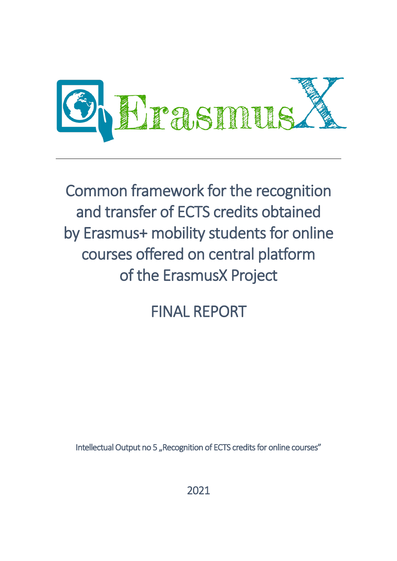

Common framework for the recognition and transfer of ECTS credits obtained by Erasmus+ mobility students for online courses offered on central platform of the ErasmusX Project

# FINAL REPORT

Intellectual Output no 5 "Recognition of ECTS credits for online courses"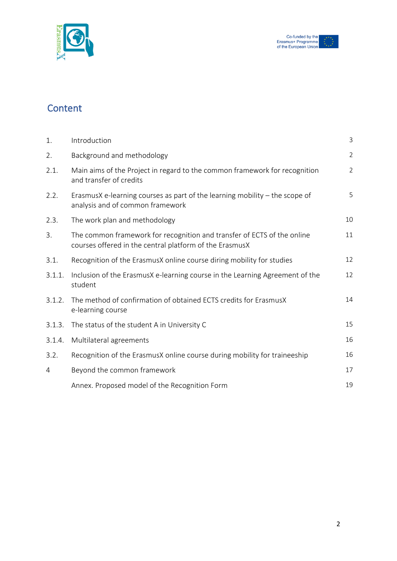

# **Content**

| 1.     | Introduction                                                                                                                       | 3              |
|--------|------------------------------------------------------------------------------------------------------------------------------------|----------------|
| 2.     | Background and methodology                                                                                                         | $\overline{2}$ |
| 2.1.   | Main aims of the Project in regard to the common framework for recognition<br>and transfer of credits                              | $\overline{2}$ |
| 2.2.   | ErasmusX e-learning courses as part of the learning mobility $-$ the scope of<br>analysis and of common framework                  | 5              |
| 2.3.   | The work plan and methodology                                                                                                      | 10             |
| 3.     | The common framework for recognition and transfer of ECTS of the online<br>courses offered in the central platform of the ErasmusX | 11             |
| 3.1.   | Recognition of the ErasmusX online course diring mobility for studies                                                              | 12             |
| 3.1.1. | Inclusion of the ErasmusX e-learning course in the Learning Agreement of the<br>student                                            | 12             |
| 3.1.2. | The method of confirmation of obtained ECTS credits for ErasmusX<br>e-learning course                                              | 14             |
| 3.1.3. | The status of the student A in University C                                                                                        | 15             |
| 3.1.4. | Multilateral agreements                                                                                                            | 16             |
| 3.2.   | Recognition of the ErasmusX online course during mobility for traineeship                                                          | 16             |
| 4      | Beyond the common framework                                                                                                        | 17             |
|        | Annex. Proposed model of the Recognition Form                                                                                      | 19             |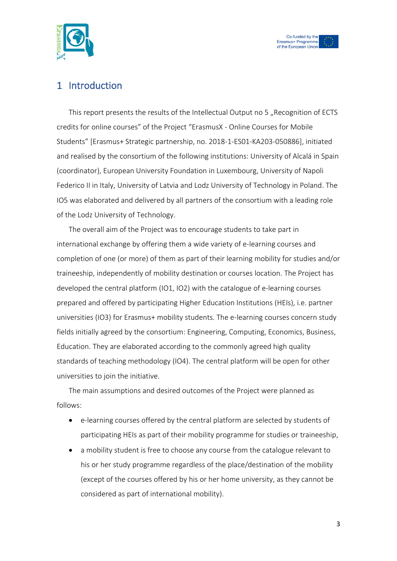



## 1 Introduction

This report presents the results of the Intellectual Output no 5 "Recognition of ECTS credits for online courses" of the Project "ErasmusX - Online Courses for Mobile Students" [Erasmus+ Strategic partnership, no. 2018-1-ES01-KA203-050886], initiated and realised by the consortium of the following institutions: University of Alcalá in Spain (coordinator), European University Foundation in Luxembourg, University of Napoli Federico II in Italy, University of Latvia and Lodz University of Technology in Poland. The IO5 was elaborated and delivered by all partners of the consortium with a leading role of the Lodz University of Technology.

The overall aim of the Project was to encourage students to take part in international exchange by offering them a wide variety of e-learning courses and completion of one (or more) of them as part of their learning mobility for studies and/or traineeship, independently of mobility destination or courses location. The Project has developed the central platform (IO1, IO2) with the catalogue of e-learning courses prepared and offered by participating Higher Education Institutions (HEIs), i.e. partner universities (IO3) for Erasmus+ mobility students. The e-learning courses concern study fields initially agreed by the consortium: Engineering, Computing, Economics, Business, Education. They are elaborated according to the commonly agreed high quality standards of teaching methodology (IO4). The central platform will be open for other universities to join the initiative.

The main assumptions and desired outcomes of the Project were planned as follows:

- e-learning courses offered by the central platform are selected by students of participating HEIs as part of their mobility programme for studies or traineeship,
- a mobility student is free to choose any course from the catalogue relevant to his or her study programme regardless of the place/destination of the mobility (except of the courses offered by his or her home university, as they cannot be considered as part of international mobility).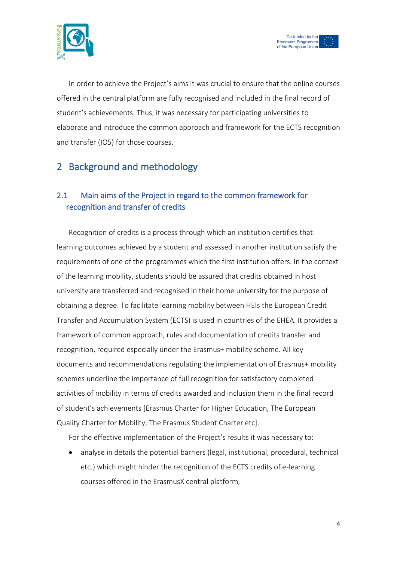



In order to achieve the Project's aims it was crucial to ensure that the online courses offered in the central platform are fully recognised and included in the final record of student's achievements. Thus, it was necessary for participating universities to elaborate and introduce the common approach and framework for the ECTS recognition and transfer (IO5) for those courses.

# 2 Background and methodology

## 2.1 Main aims of the Project in regard to the common framework for recognition and transfer of credits

Recognition of credits is a process through which an institution certifies that learning outcomes achieved by a student and assessed in another institution satisfy the requirements of one of the programmes which the first institution offers. In the context of the learning mobility, students should be assured that credits obtained in host university are transferred and recognised in their home university for the purpose of obtaining a degree. To facilitate learning mobility between HEIs the European Credit Transfer and Accumulation System (ECTS) is used in countries of the EHEA. It provides a framework of common approach, rules and documentation of credits transfer and recognition, required especially under the Erasmus+ mobility scheme. All key documents and recommendations regulating the implementation of Erasmus+ mobility schemes underline the importance of full recognition for satisfactory completed activities of mobility in terms of credits awarded and inclusion them in the final record of student's achievements [Erasmus Charter for Higher Education, The European Quality Charter for Mobility, The Erasmus Student Charter etc].

For the effective implementation of the Project's results it was necessary to:

• analyse in details the potential barriers (legal, institutional, procedural, technical etc.) which might hinder the recognition of the ECTS credits of e-learning courses offered in the ErasmusX central platform,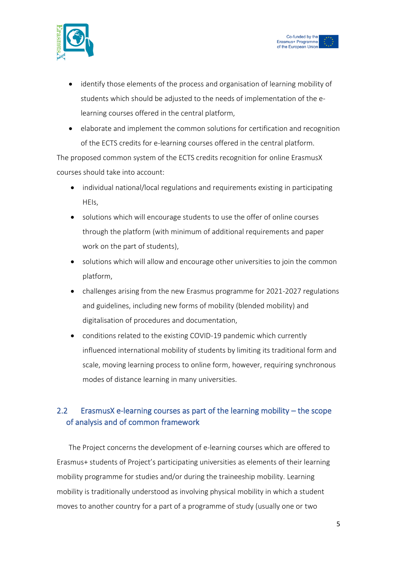



- identify those elements of the process and organisation of learning mobility of students which should be adjusted to the needs of implementation of the elearning courses offered in the central platform,
- elaborate and implement the common solutions for certification and recognition of the ECTS credits for e-learning courses offered in the central platform.

The proposed common system of the ECTS credits recognition for online ErasmusX courses should take into account:

- individual national/local regulations and requirements existing in participating HEIs,
- solutions which will encourage students to use the offer of online courses through the platform (with minimum of additional requirements and paper work on the part of students),
- solutions which will allow and encourage other universities to join the common platform,
- challenges arising from the new Erasmus programme for 2021-2027 regulations and guidelines, including new forms of mobility (blended mobility) and digitalisation of procedures and documentation,
- conditions related to the existing COVID-19 pandemic which currently influenced international mobility of students by limiting its traditional form and scale, moving learning process to online form, however, requiring synchronous modes of distance learning in many universities.

## 2.2 ErasmusX e-learning courses as part of the learning mobility – the scope of analysis and of common framework

The Project concerns the development of e-learning courses which are offered to Erasmus+ students of Project's participating universities as elements of their learning mobility programme for studies and/or during the traineeship mobility. Learning mobility is traditionally understood as involving physical mobility in which a student moves to another country for a part of a programme of study (usually one or two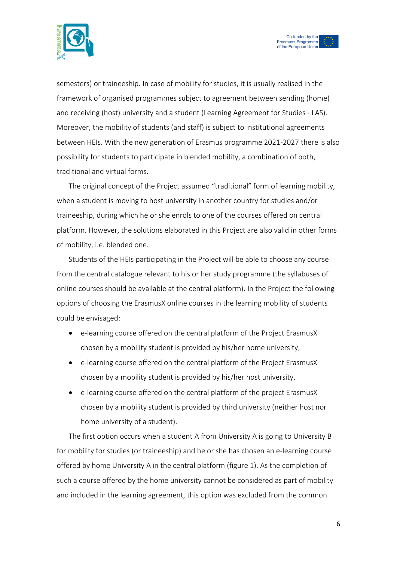



semesters) or traineeship. In case of mobility for studies, it is usually realised in the framework of organised programmes subject to agreement between sending (home) and receiving (host) university and a student (Learning Agreement for Studies - LAS). Moreover, the mobility of students (and staff) is subject to institutional agreements between HEIs. With the new generation of Erasmus programme 2021-2027 there is also possibility for students to participate in blended mobility, a combination of both, traditional and virtual forms.

The original concept of the Project assumed "traditional" form of learning mobility, when a student is moving to host university in another country for studies and/or traineeship, during which he or she enrols to one of the courses offered on central platform. However, the solutions elaborated in this Project are also valid in other forms of mobility, i.e. blended one.

Students of the HEIs participating in the Project will be able to choose any course from the central catalogue relevant to his or her study programme (the syllabuses of online courses should be available at the central platform). In the Project the following options of choosing the ErasmusX online courses in the learning mobility of students could be envisaged:

- e-learning course offered on the central platform of the Project ErasmusX chosen by a mobility student is provided by his/her home university,
- e-learning course offered on the central platform of the Project ErasmusX chosen by a mobility student is provided by his/her host university,
- e-learning course offered on the central platform of the project ErasmusX chosen by a mobility student is provided by third university (neither host nor home university of a student).

The first option occurs when a student A from University A is going to University B for mobility for studies (or traineeship) and he or she has chosen an e-learning course offered by home University A in the central platform (figure 1). As the completion of such a course offered by the home university cannot be considered as part of mobility and included in the learning agreement, this option was excluded from the common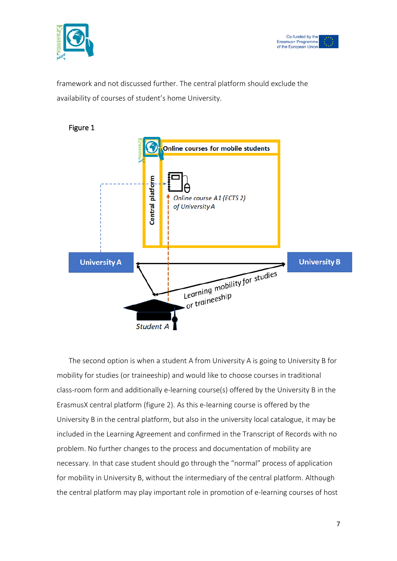



framework and not discussed further. The central platform should exclude the availability of courses of student's home University.



# The second option is when a student A from University A is going to University B for mobility for studies (or traineeship) and would like to choose courses in traditional class-room form and additionally e-learning course(s) offered by the University B in the ErasmusX central platform (figure 2). As this e-learning course is offered by the University B in the central platform, but also in the university local catalogue, it may be included in the Learning Agreement and confirmed in the Transcript of Records with no problem. No further changes to the process and documentation of mobility are necessary. In that case student should go through the "normal" process of application for mobility in University B, without the intermediary of the central platform. Although the central platform may play important role in promotion of e-learning courses of host

### Figure 1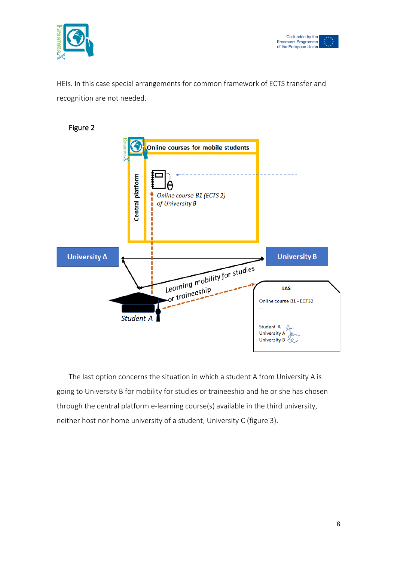



HEIs. In this case special arrangements for common framework of ECTS transfer and recognition are not needed.

Figure 2



The last option concerns the situation in which a student A from University A is going to University B for mobility for studies or traineeship and he or she has chosen through the central platform e-learning course(s) available in the third university, neither host nor home university of a student, University C (figure 3).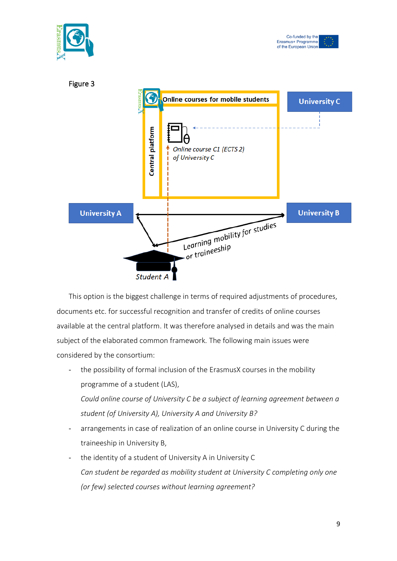

This option is the biggest challenge in terms of required adjustments of procedures, documents etc. for successful recognition and transfer of credits of online courses available at the central platform. It was therefore analysed in details and was the main subject of the elaborated common framework. The following main issues were considered by the consortium:

the possibility of formal inclusion of the ErasmusX courses in the mobility programme of a student (LAS), *Could online course of University C be a subject of learning agreement between a* 

*student (of University A), University A and University B?*

- arrangements in case of realization of an online course in University C during the traineeship in University B,
- the identity of a student of University A in University C *Can student be regarded as mobility student at University C completing only one (or few) selected courses without learning agreement?*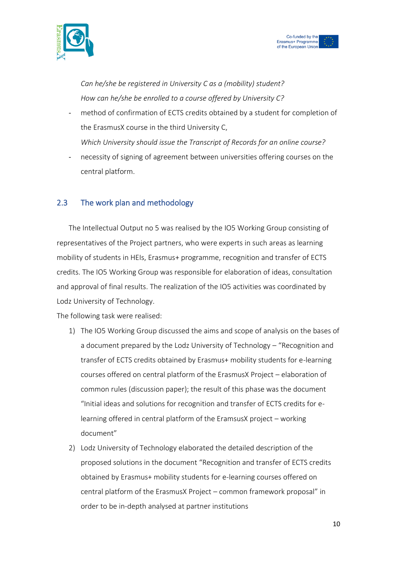



*Can he/she be registered in University C as a (mobility) student? How can he/she be enrolled to a course offered by University C?*

method of confirmation of ECTS credits obtained by a student for completion of the ErasmusX course in the third University C,

*Which University should issue the Transcript of Records for an online course?*

necessity of signing of agreement between universities offering courses on the central platform.

## 2.3 The work plan and methodology

The Intellectual Output no 5 was realised by the IO5 Working Group consisting of representatives of the Project partners, who were experts in such areas as learning mobility of students in HEIs, Erasmus+ programme, recognition and transfer of ECTS credits. The IO5 Working Group was responsible for elaboration of ideas, consultation and approval of final results. The realization of the IO5 activities was coordinated by Lodz University of Technology.

The following task were realised:

- 1) The IO5 Working Group discussed the aims and scope of analysis on the bases of a document prepared by the Lodz University of Technology – "Recognition and transfer of ECTS credits obtained by Erasmus+ mobility students for e-learning courses offered on central platform of the ErasmusX Project – elaboration of common rules (discussion paper); the result of this phase was the document "Initial ideas and solutions for recognition and transfer of ECTS credits for elearning offered in central platform of the EramsusX project – working document"
- 2) Lodz University of Technology elaborated the detailed description of the proposed solutions in the document "Recognition and transfer of ECTS credits obtained by Erasmus+ mobility students for e-learning courses offered on central platform of the ErasmusX Project – common framework proposal" in order to be in-depth analysed at partner institutions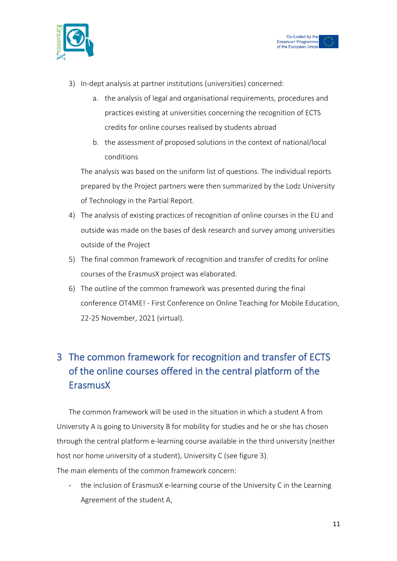



- 3) In-dept analysis at partner institutions (universities) concerned:
	- a. the analysis of legal and organisational requirements, procedures and practices existing at universities concerning the recognition of ECTS credits for online courses realised by students abroad
	- b. the assessment of proposed solutions in the context of national/local conditions

The analysis was based on the uniform list of questions. The individual reports prepared by the Project partners were then summarized by the Lodz University of Technology in the Partial Report.

- 4) The analysis of existing practices of recognition of online courses in the EU and outside was made on the bases of desk research and survey among universities outside of the Project
- 5) The final common framework of recognition and transfer of credits for online courses of the ErasmusX project was elaborated.
- 6) The outline of the common framework was presented during the final conference OT4ME! - First Conference on Online Teaching for Mobile Education, 22-25 November, 2021 (virtual).

# 3 The common framework for recognition and transfer of ECTS of the online courses offered in the central platform of the ErasmusX

The common framework will be used in the situation in which a student A from University A is going to University B for mobility for studies and he or she has chosen through the central platform e-learning course available in the third university (neither host nor home university of a student), University C (see figure 3). The main elements of the common framework concern:

- the inclusion of ErasmusX e-learning course of the University C in the Learning Agreement of the student A,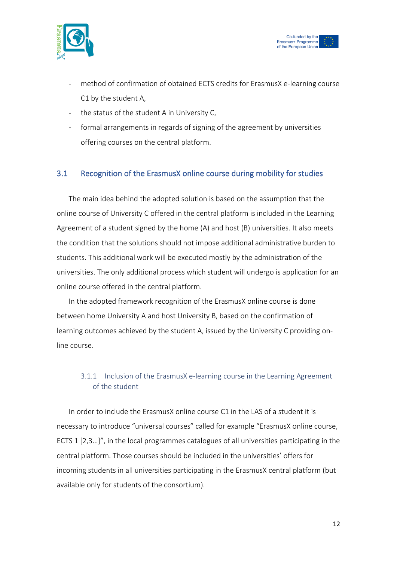



- method of confirmation of obtained ECTS credits for ErasmusX e-learning course C1 by the student A,
- the status of the student A in University C,
- formal arrangements in regards of signing of the agreement by universities offering courses on the central platform.

## 3.1 Recognition of the ErasmusX online course during mobility for studies

The main idea behind the adopted solution is based on the assumption that the online course of University C offered in the central platform is included in the Learning Agreement of a student signed by the home (A) and host (B) universities. It also meets the condition that the solutions should not impose additional administrative burden to students. This additional work will be executed mostly by the administration of the universities. The only additional process which student will undergo is application for an online course offered in the central platform.

In the adopted framework recognition of the ErasmusX online course is done between home University A and host University B, based on the confirmation of learning outcomes achieved by the student A, issued by the University C providing online course.

## 3.1.1 Inclusion of the ErasmusX e-learning course in the Learning Agreement of the student

In order to include the ErasmusX online course C1 in the LAS of a student it is necessary to introduce "universal courses" called for example "ErasmusX online course, ECTS 1 [2,3…]", in the local programmes catalogues of all universities participating in the central platform. Those courses should be included in the universities' offers for incoming students in all universities participating in the ErasmusX central platform (but available only for students of the consortium).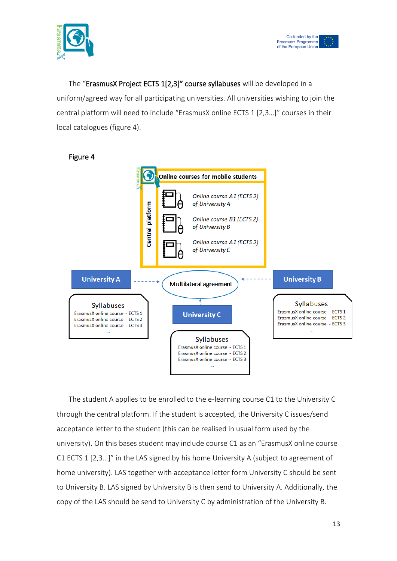



The "ErasmusX Project ECTS 1[2,3]" course syllabuses will be developed in a uniform/agreed way for all participating universities. All universities wishing to join the central platform will need to include "ErasmusX online ECTS 1 [2,3…]" courses in their local catalogues (figure 4).



#### Figure 4

The student A applies to be enrolled to the e-learning course C1 to the University C through the central platform. If the student is accepted, the University C issues/send acceptance letter to the student (this can be realised in usual form used by the university). On this bases student may include course C1 as an "ErasmusX online course C1 ECTS 1 [2,3…]" in the LAS signed by his home University A (subject to agreement of home university). LAS together with acceptance letter form University C should be sent to University B. LAS signed by University B is then send to University A. Additionally, the copy of the LAS should be send to University C by administration of the University B.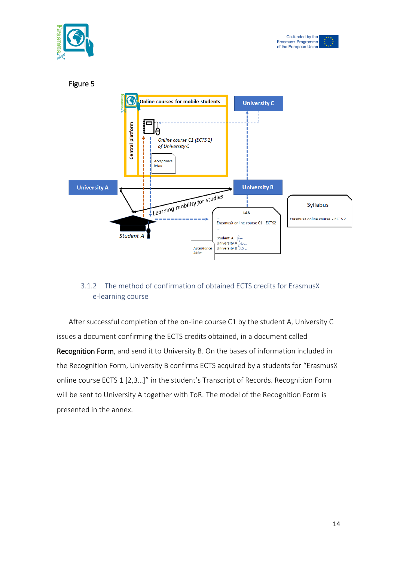





## 3.1.2 The method of confirmation of obtained ECTS credits for ErasmusX e-learning course

After successful completion of the on-line course C1 by the student A, University C issues a document confirming the ECTS credits obtained, in a document called Recognition Form, and send it to University B. On the bases of information included in the Recognition Form, University B confirms ECTS acquired by a students for "ErasmusX online course ECTS 1 [2,3…]" in the student's Transcript of Records. Recognition Form will be sent to University A together with ToR. The model of the Recognition Form is presented in the annex.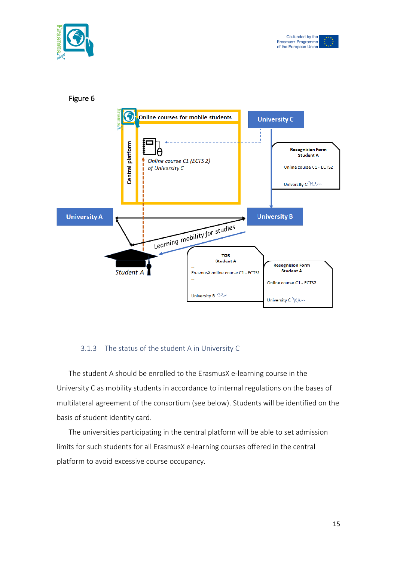





#### 3.1.3 The status of the student A in University C

The student A should be enrolled to the ErasmusX e-learning course in the University C as mobility students in accordance to internal regulations on the bases of multilateral agreement of the consortium (see below). Students will be identified on the basis of student identity card.

The universities participating in the central platform will be able to set admission limits for such students for all ErasmusX e-learning courses offered in the central platform to avoid excessive course occupancy.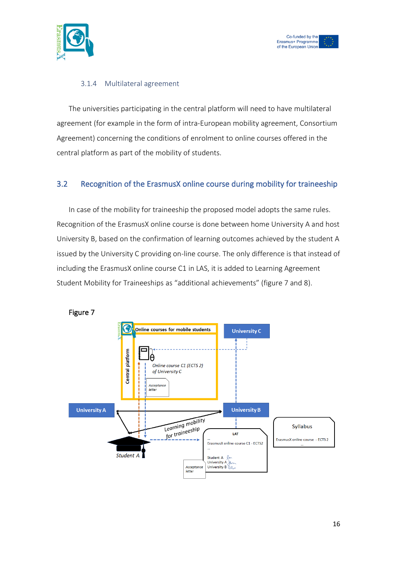



## 3.1.4 Multilateral agreement

The universities participating in the central platform will need to have multilateral agreement (for example in the form of intra-European mobility agreement, Consortium Agreement) concerning the conditions of enrolment to online courses offered in the central platform as part of the mobility of students.

## 3.2 Recognition of the ErasmusX online course during mobility for traineeship

In case of the mobility for traineeship the proposed model adopts the same rules. Recognition of the ErasmusX online course is done between home University A and host University B, based on the confirmation of learning outcomes achieved by the student A issued by the University C providing on-line course. The only difference is that instead of including the ErasmusX online course C1 in LAS, it is added to Learning Agreement Student Mobility for Traineeships as "additional achievements" (figure 7 and 8).



Figure 7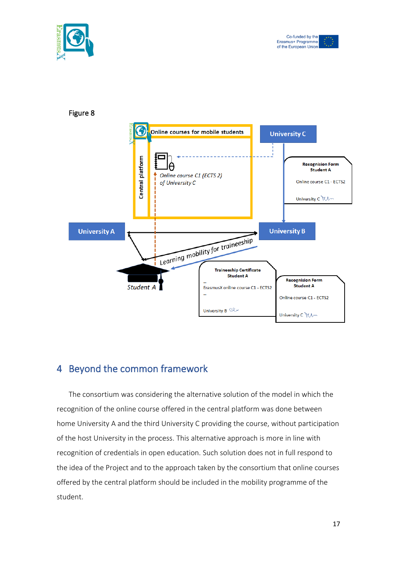





## 4 Beyond the common framework

The consortium was considering the alternative solution of the model in which the recognition of the online course offered in the central platform was done between home University A and the third University C providing the course, without participation of the host University in the process. This alternative approach is more in line with recognition of credentials in open education. Such solution does not in full respond to the idea of the Project and to the approach taken by the consortium that online courses offered by the central platform should be included in the mobility programme of the student.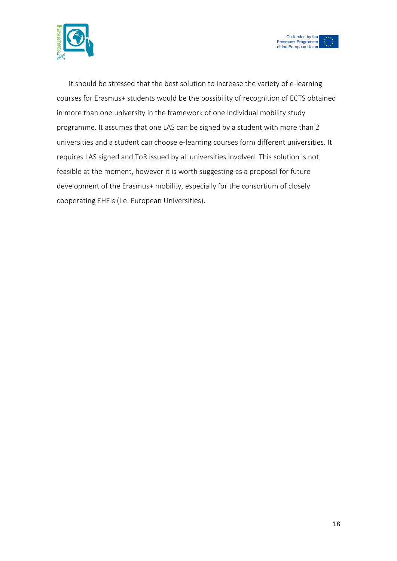



It should be stressed that the best solution to increase the variety of e-learning courses for Erasmus+ students would be the possibility of recognition of ECTS obtained in more than one university in the framework of one individual mobility study programme. It assumes that one LAS can be signed by a student with more than 2 universities and a student can choose e-learning courses form different universities. It requires LAS signed and ToR issued by all universities involved. This solution is not feasible at the moment, however it is worth suggesting as a proposal for future development of the Erasmus+ mobility, especially for the consortium of closely cooperating EHEIs (i.e. European Universities).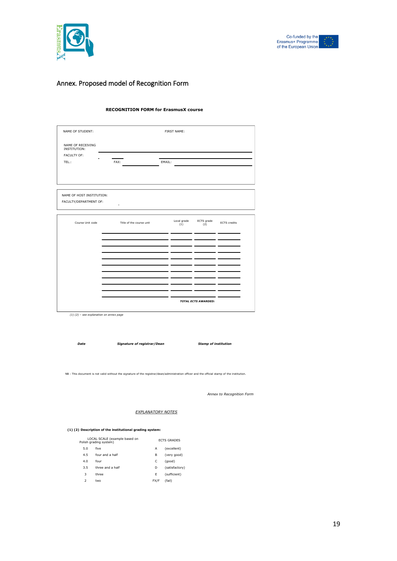



## Annex. Proposed model of Recognition Form

#### **RECOGNITION FORM for ErasmusX course**

| NAME OF STUDENT:                  |                          | FIRST NAME: |            |                     |  |  |
|-----------------------------------|--------------------------|-------------|------------|---------------------|--|--|
| NAME OF RECEIVING<br>INSTITUTION: |                          |             |            |                     |  |  |
| FACULTY OF:                       |                          |             |            |                     |  |  |
| TEL.:                             | FAX:                     | EMAIL:      |            |                     |  |  |
|                                   |                          |             |            |                     |  |  |
|                                   |                          |             |            |                     |  |  |
| NAME OF HOST INSTITUTION:         |                          |             |            |                     |  |  |
| FACULTY/DEPARTMENT OF:            | ÷.                       |             |            |                     |  |  |
|                                   |                          | Local grade | ECTS grade |                     |  |  |
| Course Unit code                  | Title of the course unit | (1)         | (2)        | <b>ECTS</b> credits |  |  |
|                                   |                          |             |            |                     |  |  |
|                                   |                          |             |            |                     |  |  |
|                                   |                          |             |            |                     |  |  |
|                                   |                          |             |            |                     |  |  |
|                                   |                          |             |            |                     |  |  |
|                                   |                          |             |            |                     |  |  |
|                                   |                          |             |            |                     |  |  |

*Date Signature of registrar/Dean Stamp of institution*

NB : This document is not valid without the signature of the registrar/dean/administration officer and the official stamp of the institution.

*Annex to Recognition Form*

#### *EXPLANATORY NOTES*

#### **(1) (2) Description of the institutional grading system:**

|                          | LOCAL SCALE (example based on<br>Polish grading system) |      | <b>FCTS GRADES</b> |  |  |
|--------------------------|---------------------------------------------------------|------|--------------------|--|--|
| 5.0                      | five                                                    | А    | (excellent)        |  |  |
| 4.5                      | four and a half                                         | В    | (very good)        |  |  |
| 4.0                      | four                                                    | C    | (qood)             |  |  |
| 3.5                      | three and a half                                        | D    | (satisfactory)     |  |  |
| 3                        | three                                                   | Е    | (sufficient)       |  |  |
| $\overline{\phantom{a}}$ | two                                                     | FX/F | (fail)             |  |  |
|                          |                                                         |      |                    |  |  |